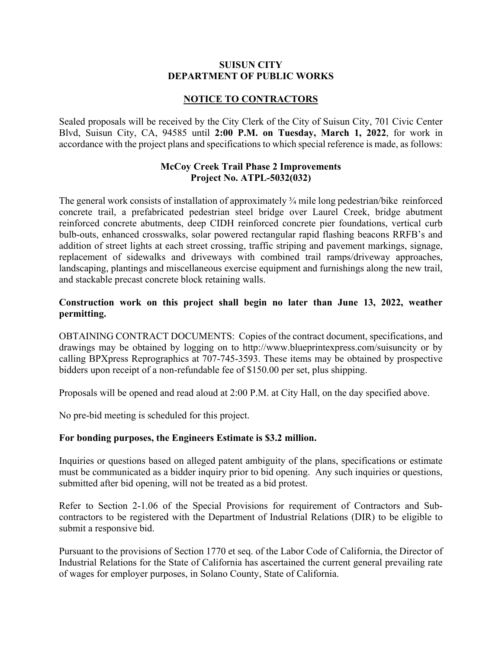#### **SUISUN CITY DEPARTMENT OF PUBLIC WORKS**

# **NOTICE TO CONTRACTORS**

Sealed proposals will be received by the City Clerk of the City of Suisun City, 701 Civic Center Blvd, Suisun City, CA, 94585 until **2:00 P.M. on Tuesday, March 1, 2022**, for work in accordance with the project plans and specifications to which special reference is made, as follows:

## **McCoy Creek Trail Phase 2 Improvements Project No. ATPL-5032(032)**

The general work consists of installation of approximately 3/4 mile long pedestrian/bike reinforced concrete trail, a prefabricated pedestrian steel bridge over Laurel Creek, bridge abutment reinforced concrete abutments, deep CIDH reinforced concrete pier foundations, vertical curb bulb-outs, enhanced crosswalks, solar powered rectangular rapid flashing beacons RRFB's and addition of street lights at each street crossing, traffic striping and pavement markings, signage, replacement of sidewalks and driveways with combined trail ramps/driveway approaches, landscaping, plantings and miscellaneous exercise equipment and furnishings along the new trail, and stackable precast concrete block retaining walls.

## **Construction work on this project shall begin no later than June 13, 2022, weather permitting.**

OBTAINING CONTRACT DOCUMENTS: Copies of the contract document, specifications, and drawings may be obtained by logging on to http://www.blueprintexpress.com/suisuncity or by calling BPXpress Reprographics at 707-745-3593. These items may be obtained by prospective bidders upon receipt of a non-refundable fee of \$150.00 per set, plus shipping.

Proposals will be opened and read aloud at 2:00 P.M. at City Hall, on the day specified above.

No pre-bid meeting is scheduled for this project.

#### **For bonding purposes, the Engineers Estimate is \$3.2 million.**

Inquiries or questions based on alleged patent ambiguity of the plans, specifications or estimate must be communicated as a bidder inquiry prior to bid opening. Any such inquiries or questions, submitted after bid opening, will not be treated as a bid protest.

Refer to Section 2-1.06 of the Special Provisions for requirement of Contractors and Subcontractors to be registered with the Department of Industrial Relations (DIR) to be eligible to submit a responsive bid.

Pursuant to the provisions of Section 1770 et seq. of the Labor Code of California, the Director of Industrial Relations for the State of California has ascertained the current general prevailing rate of wages for employer purposes, in Solano County, State of California.